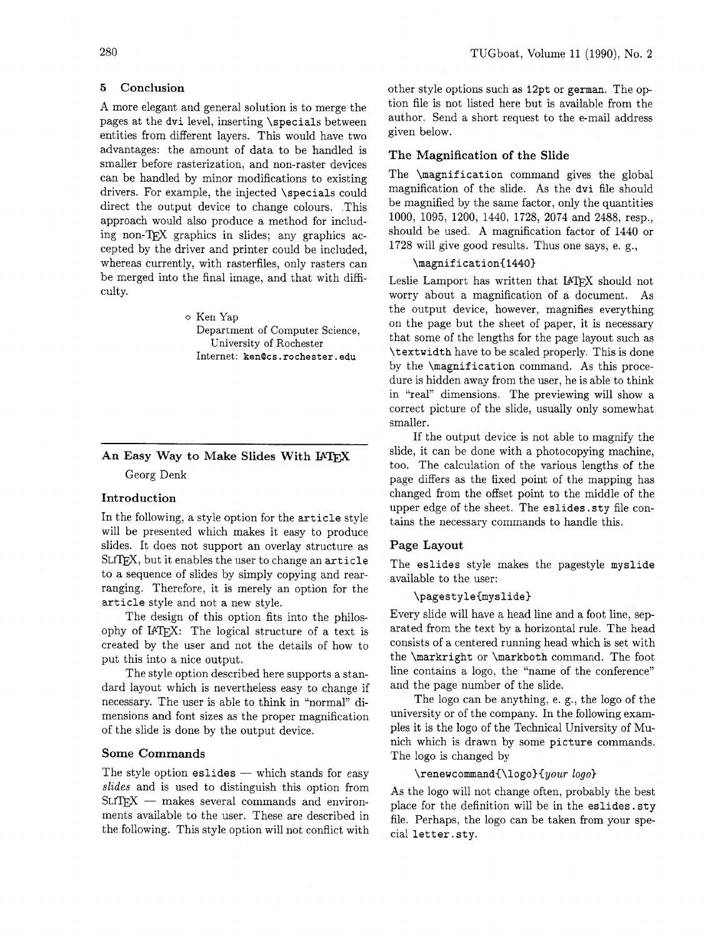# **5 Conclusion**

A more elegant and general solution is to merge the pages at the **dvi** level, inserting **\specials** between entities from different layers. This would have two advantages: the amount of data to be handled is smaller before rasterization, and non-raster devices can be handled by minor modifications to existing drivers. For example, the injected **\specials** could direct the output device to change colours. This approach would also produce a method for including non-TEX graphics in slides; any graphics accepted by the driver and printer could be included, whereas currently, with rasterfiles, only rasters can be merged into the final image, and that with difficulty.

# **o** Ken Yap

Department of Computer Science, University **of** Rochester Internet: **kenlcs. rochester** . **edu** 

--

# An Easy Way to Make Slides With **PTEX** Georg Denk

# **Introduction**

In the following, a style option for the **article** style will be presented which makes it easy to produce slides. It does not support an overlay structure as SLITEX, but it enables the user to change an article to a sequence of slides by simply copying and rearranging. Therefore, it is merely an option for the **article** style and not a new style.

The design of this option fits into the philosophy of IATEX: The logical structure of a text is created by the user and not the details of how to put this into a nice output.

The style option described here supports a standard layout which is nevertheless easy to change if necessary. The user is able to think in "normal" dimensions and font sizes as the proper magnification of the slide is done by the output device.

### **Some Commands**

The style option eslides - which stands for easy slides and is used to distinguish this option from  $SLT$  $EX$  - makes several commands and environments available to the user. These are described in the following. This style option will not conflict with other style options such as **12pt** or **german.** The option file is not listed here but is available from the author. Send a short request to the e-mail address given below.

# **The Magnification of the Slide**

The **\magnification** command gives the global magnification of the slide. As the **dvi** file should be magnified by the same factor, only the quantities 1000, 1095, 1200, 1440, 1728, 2074 and 2488, resp., should be used. A magnification factor of 1440 or 1728 will give good results. Thus one says, e. g.,

 $\text{magnification}\$  Leslie Lamport has written that IATFX should not worry about a magnification of a document. As the output device, however, magnifies everything on the page but the sheet of paper, it is necessary that some of the lengths for the page layout such as **\textwidth** have to be scaled properly. This is done by the **\magnification** command. As this procedure is hidden away from the user, he is able to think in "real" dimensions. The previewing will show a correct picture of the slide, usually only somewhat smaller.

If the output device is not able to magnify the slide, it can be done with a photocopying machine, too. The calculation of the various lengths of the page differs as the fixed point of the mapping has changed from the offset point to the middle of the upper edge of the sheet. The **eslides .sty** file contains the necessary commands to handle this.

# **Page Layout**

The **eslides** style makes the pagestyle **myslide**  available to the user:

#### **\pagestyle{myslide)**

Every slide will have a head line and a foot line, separated from the text by a horizontal rule. The head consists of a centered running head which is set with the **\markright** or **\markboth** command. The foot line contains a logo, the "name of the conference" and the page number of the slide.

The logo can be anything, e. g., the logo of the university or of the company. In the following examples it is the logo of the Technical University of Munich which is drawn by some **picture** commands. The logo is changed by

# \renewcommand{\logo}{your logo}

As the logo will not change often, probably the best place for the definition will be in the **eslides. sty**  file. Perhaps, the logo can be taken from your special **letter. sty.**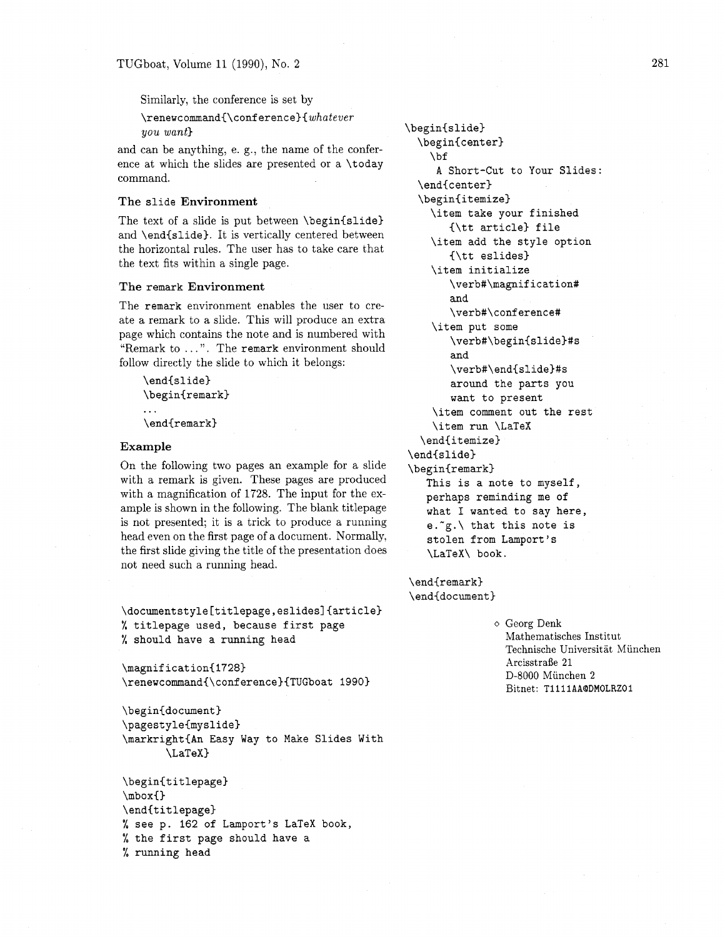Similarly, the conference is set by

\renewcommand{\conf erence){whatever you want}<br>
you want}<br>
\begin{slide}<br>
\begin{center}

and can be anything, e. g., the name of the confer-<br>bf ence at which the slides are presented or a  $\cdot$  today ence at which the shoes are presented or a \today a Short-Cut to Your Slides:<br>
command. \end{center}

The text of a slide is put between  $\begin{subarray}{c}$ and \end{slide). It is vertically centered between the horizontal rules. The user has to take care that the text fits within a single page.

# **The** remark **Environment**

The remark environment enables the user to create a remark to a slide. This will produce an extra page which contains the note and is numbered with "Remark to . . . ". The remark environment should follow directly the slide to which it belongs:

```
\end{slide) 
\begin{remark)
```
\end{remark}

### **Example**

On the following two pages an example for a slide with a remark is given. These pages are produced with a magnification of 1728. The input for the example is shown in the following. The blank titlepage is not presented; it is a trick to produce a running head even on the first page of a document. Normally, the first slide giving the title of the presentation does not need such a running head.

**\documentstyle[titlepage,eslides]{article)**  % titlepage used, because first page % should have a running head

```
\magnification{1728}
\renewcommand{\conference}{TUGboat 1990}
```

```
\begin{document}
\pagestyle{myslidel 
\markright{An Easy Way to Make Slides With 
       \LaTeX)
```

```
\begin{titlepage) 
\mod\end{tit lepage) 
% see p. 162 of Lamport's LaTeX book, 
% the first page should have a 
% running head
```

```
The slide Environment \begin{itemize) 
                                                    \item take your finished 
                                                       {\tt article) file 
                                                    \item add the style option 
                                                       \{\text{tt eslides}\}\item initialize 
                                                       \verb#\magnification# 
                                                       and 
                                                       \verb#\conference# 
                                                    \item put some 
                                                       \verb#\begin{slide)#s 
                                                       and 
                                                       \verb#\end{slide)#s 
                                                       around the parts you 
                                                       want to present 
                                                     \item comment out the rest 
                                                     \item run \LaTeX 
                                                  \end{itemize}\end{split}\begin{remark) 
                                                   This is a note to myself, 
                                                   perhaps reminding me of 
                                                   what I wanted to say here, 
                                                    e.\tilde{g}. that this note is
                                                    stolen from Lamport's 
                                                    \LaTeX\ book.
```
\end{remark} \end{document}

> o Georg Denk Mathematisches Institut Technische Universitat Miinchen Arcisstrafie 21 D-8000 Miinchen 2 Bitnet: **Ti11 1AAQDMOLRZOl**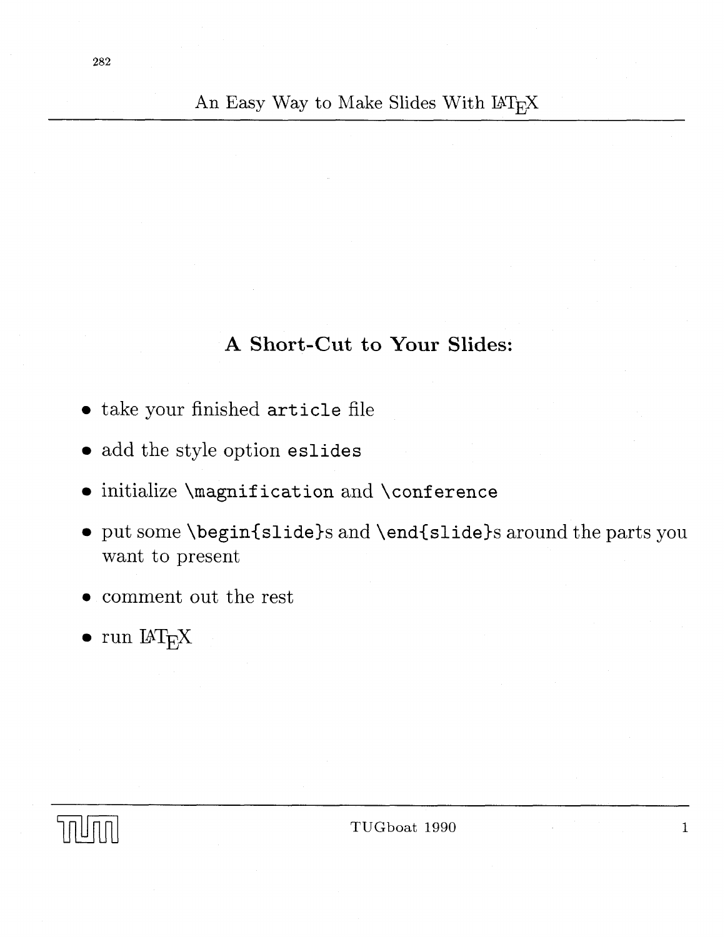An Easy Way to Make Slides With LAT<sub>E</sub>X

# **A Short-Cut to Your Slides:**

- take your finished article file
- add the style option eslides
- $\bullet$  initialize \magnification and \conference
- put some \begin{slide)s and \end{slide)s around the parts you want to present
- **0** comment out the rest
- $\bullet$  run  $IAT$ <sub>F</sub>X



TUGboat 1990

 $\mathbf{1}$